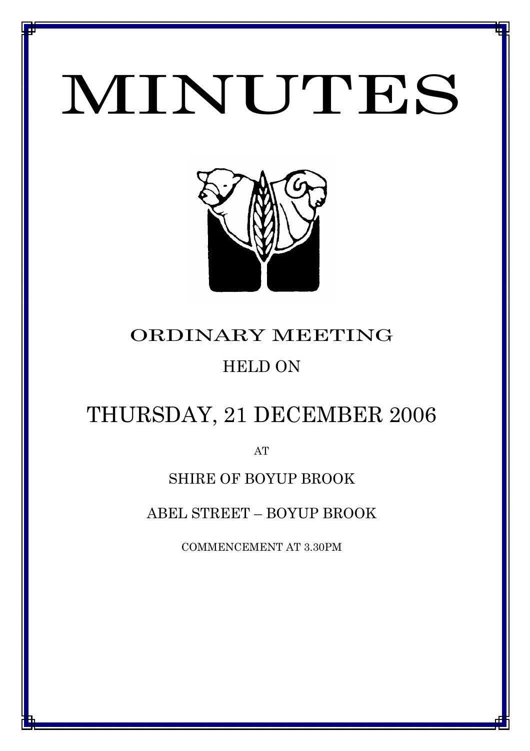# MINUTES

*MINUTES OF THE ORDINARY MEETING OF COUNCIL HELD ON 21 DECEMBER 2006*



# ORDINARY MEETING HELD ON

## THURSDAY, 21 DECEMBER 2006

AT

### SHIRE OF BOYUP BROOK

ABEL STREET – BOYUP BROOK

COMMENCEMENT AT 3.30PM

1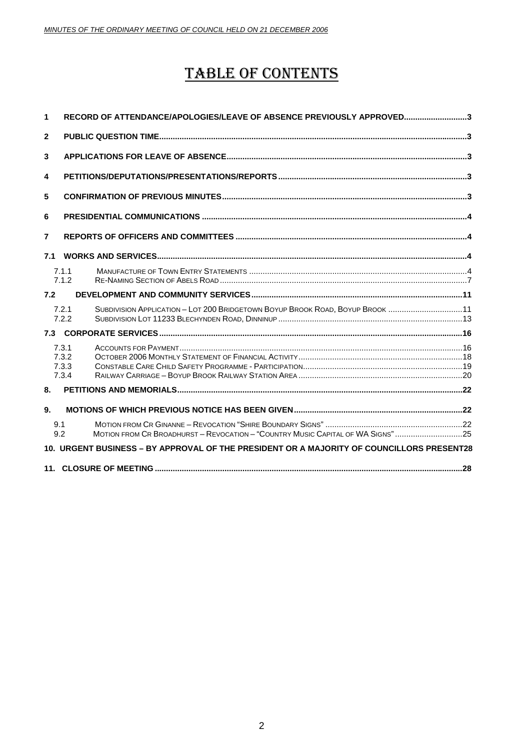### TABLE OF CONTENTS

| 1                                                                                         | RECORD OF ATTENDANCE/APOLOGIES/LEAVE OF ABSENCE PREVIOUSLY APPROVED3                            |  |  |
|-------------------------------------------------------------------------------------------|-------------------------------------------------------------------------------------------------|--|--|
| $\mathbf{2}$                                                                              |                                                                                                 |  |  |
| 3                                                                                         |                                                                                                 |  |  |
| 4                                                                                         |                                                                                                 |  |  |
| 5                                                                                         |                                                                                                 |  |  |
| 6                                                                                         |                                                                                                 |  |  |
| $\overline{7}$                                                                            |                                                                                                 |  |  |
| 7.1                                                                                       |                                                                                                 |  |  |
|                                                                                           | 7.1.1<br>7.1.2                                                                                  |  |  |
| 7.2                                                                                       |                                                                                                 |  |  |
|                                                                                           | SUBDIVISION APPLICATION - LOT 200 BRIDGETOWN BOYUP BROOK ROAD, BOYUP BROOK 11<br>7.2.1<br>7.2.2 |  |  |
| 7.3                                                                                       |                                                                                                 |  |  |
|                                                                                           | 7.3.1<br>7.3.2<br>7.3.3<br>7.3.4                                                                |  |  |
| 8.                                                                                        |                                                                                                 |  |  |
| 9.                                                                                        |                                                                                                 |  |  |
|                                                                                           | 9.1<br>MOTION FROM CR BROADHURST - REVOCATION - "COUNTRY MUSIC CAPITAL OF WA SIGNS" 25<br>9.2   |  |  |
| 10. URGENT BUSINESS – BY APPROVAL OF THE PRESIDENT OR A MAJORITY OF COUNCILLORS PRESENT28 |                                                                                                 |  |  |
|                                                                                           |                                                                                                 |  |  |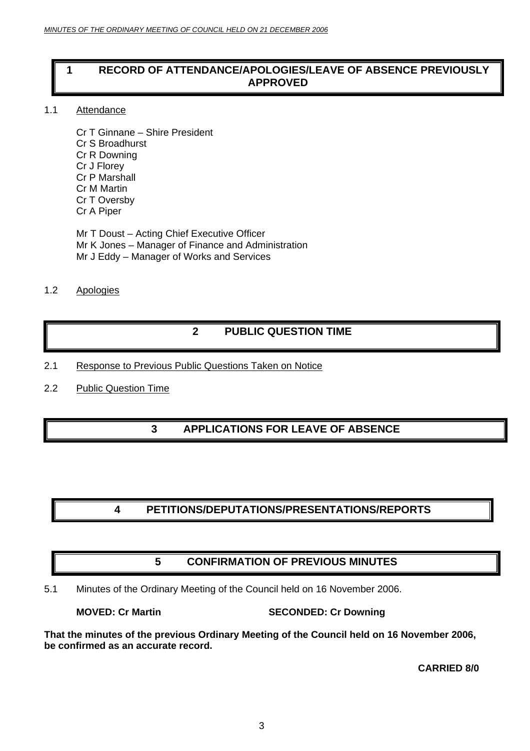### <span id="page-2-0"></span>**1 RECORD OF ATTENDANCE/APOLOGIES/LEAVE OF ABSENCE PREVIOUSLY APPROVED**

#### 1.1 Attendance

Cr T Ginnane – Shire President Cr S Broadhurst Cr R Downing Cr J Florey Cr P Marshall Cr M Martin Cr T Oversby Cr A Piper

Mr T Doust – Acting Chief Executive Officer Mr K Jones – Manager of Finance and Administration Mr J Eddy – Manager of Works and Services

#### 1.2 Apologies

### **2 PUBLIC QUESTION TIME**

- 2.1 Response to Previous Public Questions Taken on Notice
- 2.2 Public Question Time

### **3 APPLICATIONS FOR LEAVE OF ABSENCE**

### **4 PETITIONS/DEPUTATIONS/PRESENTATIONS/REPORTS**

### **5 CONFIRMATION OF PREVIOUS MINUTES**

5.1 Minutes of the Ordinary Meeting of the Council held on 16 November 2006.

#### **MOVED: Cr Martin SECONDED: Cr Downing**

**That the minutes of the previous Ordinary Meeting of the Council held on 16 November 2006, be confirmed as an accurate record.**

#### **CARRIED 8/0**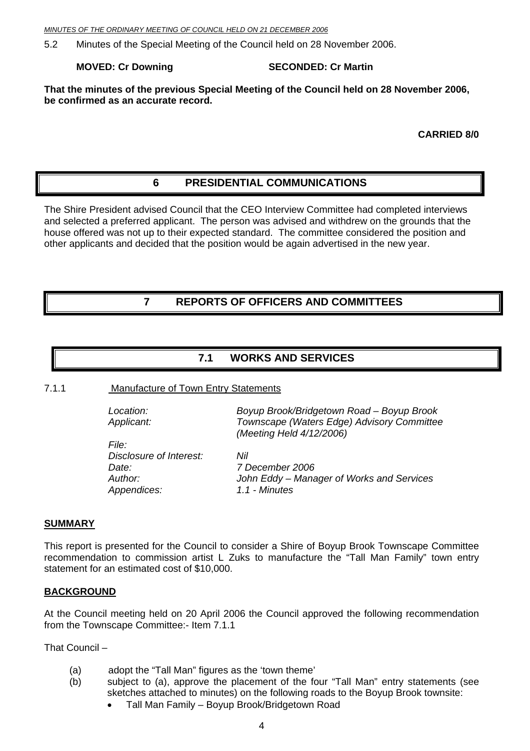<span id="page-3-0"></span>*MINUTES OF THE ORDINARY MEETING OF COUNCIL HELD ON 21 DECEMBER 2006*

5.2 Minutes of the Special Meeting of the Council held on 28 November 2006.

#### **MOVED: Cr Downing SECONDED: Cr Martin**

**That the minutes of the previous Special Meeting of the Council held on 28 November 2006, be confirmed as an accurate record.** 

**CARRIED 8/0**

### **6 PRESIDENTIAL COMMUNICATIONS**

The Shire President advised Council that the CEO Interview Committee had completed interviews and selected a preferred applicant. The person was advised and withdrew on the grounds that the house offered was not up to their expected standard. The committee considered the position and other applicants and decided that the position would be again advertised in the new year.

#### **7 REPORTS OF OFFICERS AND COMMITTEES**

#### **7.1 WORKS AND SERVICES**

7.1.1 Manufacture of Town Entry Statements

| Location:               | Boyup Brook/Bridgetown Road - Boyup Brook                              |
|-------------------------|------------------------------------------------------------------------|
| Applicant:              | Townscape (Waters Edge) Advisory Committee<br>(Meeting Held 4/12/2006) |
| <i>File:</i>            |                                                                        |
| Disclosure of Interest: | Nil                                                                    |
| Date:                   | 7 December 2006                                                        |
| Author:                 | John Eddy – Manager of Works and Services                              |
| Appendices:             | 1.1 - Minutes                                                          |

#### **SUMMARY**

This report is presented for the Council to consider a Shire of Boyup Brook Townscape Committee recommendation to commission artist L Zuks to manufacture the "Tall Man Family" town entry statement for an estimated cost of \$10,000.

#### **BACKGROUND**

At the Council meeting held on 20 April 2006 the Council approved the following recommendation from the Townscape Committee:- Item 7.1.1

That Council –

- (a) adopt the "Tall Man" figures as the 'town theme'
- (b) subject to (a), approve the placement of the four "Tall Man" entry statements (see sketches attached to minutes) on the following roads to the Boyup Brook townsite:
	- Tall Man Family Boyup Brook/Bridgetown Road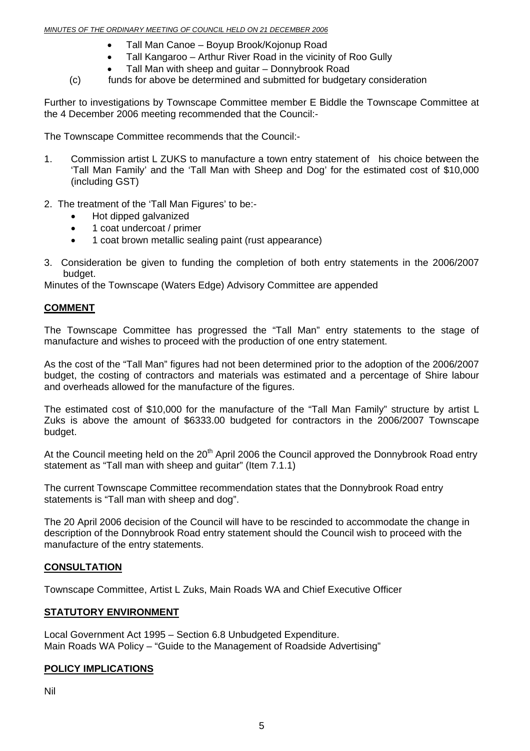- Tall Man Canoe Boyup Brook/Kojonup Road
- Tall Kangaroo Arthur River Road in the vicinity of Roo Gully
- Tall Man with sheep and guitar Donnybrook Road
- (c) funds for above be determined and submitted for budgetary consideration

Further to investigations by Townscape Committee member E Biddle the Townscape Committee at the 4 December 2006 meeting recommended that the Council:-

The Townscape Committee recommends that the Council:-

- 1. Commission artist L ZUKS to manufacture a town entry statement of his choice between the 'Tall Man Family' and the 'Tall Man with Sheep and Dog' for the estimated cost of \$10,000 (including GST)
- 2. The treatment of the 'Tall Man Figures' to be:-
	- Hot dipped galvanized
	- 1 coat undercoat / primer
	- 1 coat brown metallic sealing paint (rust appearance)
- 3. Consideration be given to funding the completion of both entry statements in the 2006/2007 budget.

Minutes of the Townscape (Waters Edge) Advisory Committee are appended

#### **COMMENT**

The Townscape Committee has progressed the "Tall Man" entry statements to the stage of manufacture and wishes to proceed with the production of one entry statement.

As the cost of the "Tall Man" figures had not been determined prior to the adoption of the 2006/2007 budget, the costing of contractors and materials was estimated and a percentage of Shire labour and overheads allowed for the manufacture of the figures.

The estimated cost of \$10,000 for the manufacture of the "Tall Man Family" structure by artist L Zuks is above the amount of \$6333.00 budgeted for contractors in the 2006/2007 Townscape budget.

At the Council meeting held on the 20<sup>th</sup> April 2006 the Council approved the Donnybrook Road entry statement as "Tall man with sheep and guitar" (Item 7.1.1)

The current Townscape Committee recommendation states that the Donnybrook Road entry statements is "Tall man with sheep and dog".

The 20 April 2006 decision of the Council will have to be rescinded to accommodate the change in description of the Donnybrook Road entry statement should the Council wish to proceed with the manufacture of the entry statements.

#### **CONSULTATION**

Townscape Committee, Artist L Zuks, Main Roads WA and Chief Executive Officer

#### **STATUTORY ENVIRONMENT**

Local Government Act 1995 – Section 6.8 Unbudgeted Expenditure. Main Roads WA Policy – "Guide to the Management of Roadside Advertising"

#### **POLICY IMPLICATIONS**

Nil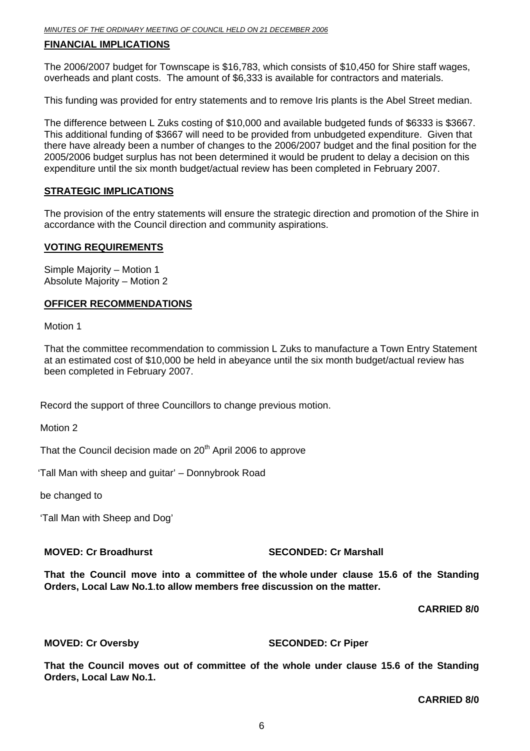#### **FINANCIAL IMPLICATIONS**

The 2006/2007 budget for Townscape is \$16,783, which consists of \$10,450 for Shire staff wages, overheads and plant costs. The amount of \$6,333 is available for contractors and materials.

This funding was provided for entry statements and to remove Iris plants is the Abel Street median.

The difference between L Zuks costing of \$10,000 and available budgeted funds of \$6333 is \$3667. This additional funding of \$3667 will need to be provided from unbudgeted expenditure. Given that there have already been a number of changes to the 2006/2007 budget and the final position for the 2005/2006 budget surplus has not been determined it would be prudent to delay a decision on this expenditure until the six month budget/actual review has been completed in February 2007.

#### **STRATEGIC IMPLICATIONS**

The provision of the entry statements will ensure the strategic direction and promotion of the Shire in accordance with the Council direction and community aspirations.

#### **VOTING REQUIREMENTS**

Simple Majority – Motion 1 Absolute Majority – Motion 2

#### **OFFICER RECOMMENDATIONS**

Motion 1

That the committee recommendation to commission L Zuks to manufacture a Town Entry Statement at an estimated cost of \$10,000 be held in abeyance until the six month budget/actual review has been completed in February 2007.

Record the support of three Councillors to change previous motion.

Motion 2

That the Council decision made on  $20<sup>th</sup>$  April 2006 to approve

'Tall Man with sheep and guitar' – Donnybrook Road

be changed to

'Tall Man with Sheep and Dog'

**MOVED: Cr Broadhurst SECONDED: Cr Marshall** 

**That the Council move into a committee of the whole under clause 15.6 of the Standing Orders, Local Law No.1**.**to allow members free discussion on the matter.** 

 **CARRIED 8/0** 

#### **MOVED: Cr Oversby SECONDED: Cr Piper**

**That the Council moves out of committee of the whole under clause 15.6 of the Standing Orders, Local Law No.1.** 

**CARRIED 8/0**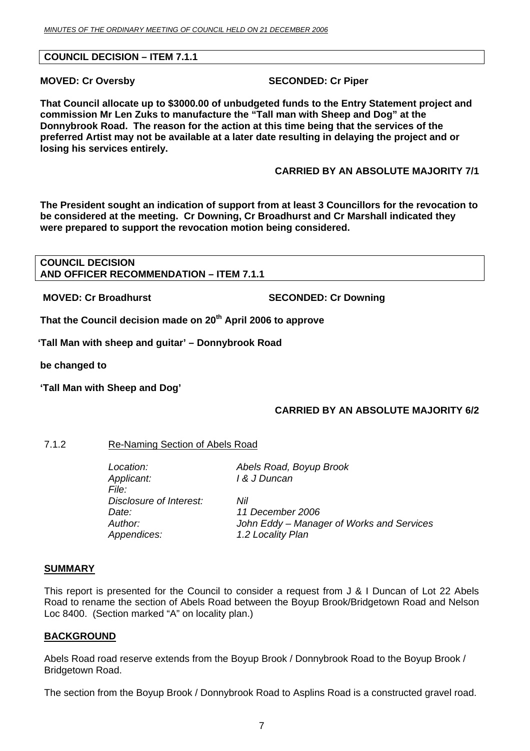#### <span id="page-6-0"></span>**COUNCIL DECISION – ITEM 7.1.1**

**MOVED: Cr Oversby SECONDED: Cr Piper** 

**That Council allocate up to \$3000.00 of unbudgeted funds to the Entry Statement project and commission Mr Len Zuks to manufacture the "Tall man with Sheep and Dog" at the Donnybrook Road. The reason for the action at this time being that the services of the preferred Artist may not be available at a later date resulting in delaying the project and or losing his services entirely.**

**CARRIED BY AN ABSOLUTE MAJORITY 7/1** 

**The President sought an indication of support from at least 3 Councillors for the revocation to be considered at the meeting. Cr Downing, Cr Broadhurst and Cr Marshall indicated they were prepared to support the revocation motion being considered.** 

**COUNCIL DECISION AND OFFICER RECOMMENDATION – ITEM 7.1.1** 

 **MOVED: Cr Broadhurst SECONDED: Cr Downing** 

That the Council decision made on 20<sup>th</sup> April 2006 to approve

**'Tall Man with sheep and guitar' – Donnybrook Road** 

**be changed to** 

**'Tall Man with Sheep and Dog'** 

#### **CARRIED BY AN ABSOLUTE MAJORITY 6/2**

7.1.2 Re-Naming Section of Abels Road

*Location: Abels Road, Boyup Brook Applicant: I & J Duncan File: Disclosure of Interest: Nil Date: 11 December 2006 Author: John Eddy – Manager of Works and Services Appendices: 1.2 Locality Plan* 

#### **SUMMARY**

This report is presented for the Council to consider a request from J & I Duncan of Lot 22 Abels Road to rename the section of Abels Road between the Boyup Brook/Bridgetown Road and Nelson Loc 8400. (Section marked "A" on locality plan.)

#### **BACKGROUND**

Abels Road road reserve extends from the Boyup Brook / Donnybrook Road to the Boyup Brook / Bridgetown Road.

The section from the Boyup Brook / Donnybrook Road to Asplins Road is a constructed gravel road.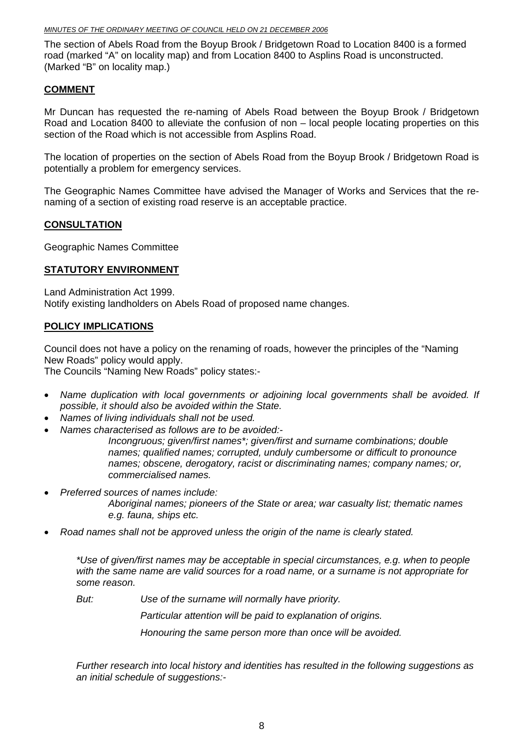The section of Abels Road from the Boyup Brook / Bridgetown Road to Location 8400 is a formed road (marked "A" on locality map) and from Location 8400 to Asplins Road is unconstructed. (Marked "B" on locality map.)

#### **COMMENT**

Mr Duncan has requested the re-naming of Abels Road between the Boyup Brook / Bridgetown Road and Location 8400 to alleviate the confusion of non – local people locating properties on this section of the Road which is not accessible from Asplins Road.

The location of properties on the section of Abels Road from the Boyup Brook / Bridgetown Road is potentially a problem for emergency services.

The Geographic Names Committee have advised the Manager of Works and Services that the renaming of a section of existing road reserve is an acceptable practice.

#### **CONSULTATION**

Geographic Names Committee

#### **STATUTORY ENVIRONMENT**

Land Administration Act 1999. Notify existing landholders on Abels Road of proposed name changes.

#### **POLICY IMPLICATIONS**

Council does not have a policy on the renaming of roads, however the principles of the "Naming New Roads" policy would apply.

The Councils "Naming New Roads" policy states:-

- *Name duplication with local governments or adjoining local governments shall be avoided. If possible, it should also be avoided within the State.*
- *Names of living individuals shall not be used.*
- *Names characterised as follows are to be avoided:-*

*Incongruous; given/first names\*; given/first and surname combinations; double names; qualified names; corrupted, unduly cumbersome or difficult to pronounce names; obscene, derogatory, racist or discriminating names; company names; or, commercialised names.*

• *Preferred sources of names include:* 

*Aboriginal names; pioneers of the State or area; war casualty list; thematic names e.g. fauna, ships etc.* 

• *Road names shall not be approved unless the origin of the name is clearly stated.* 

*\*Use of given/first names may be acceptable in special circumstances, e.g. when to people with the same name are valid sources for a road name, or a surname is not appropriate for some reason.* 

*But: Use of the surname will normally have priority.* 

*Particular attention will be paid to explanation of origins.* 

*Honouring the same person more than once will be avoided.*

*Further research into local history and identities has resulted in the following suggestions as an initial schedule of suggestions:-*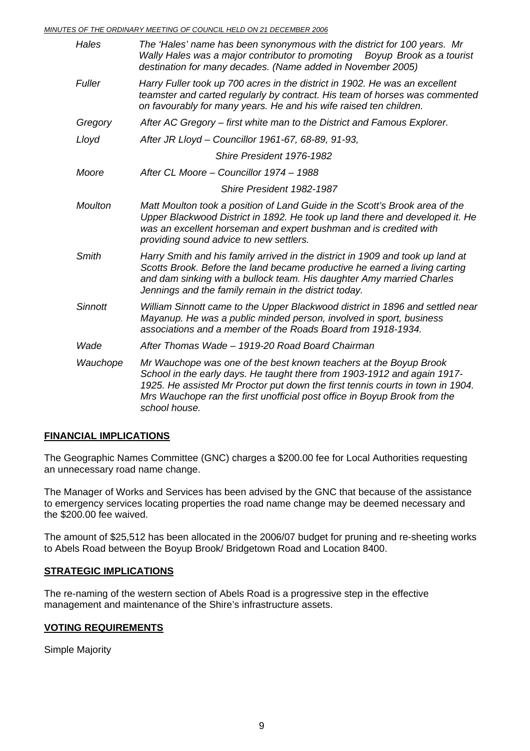*MINUTES OF THE ORDINARY MEETING OF COUNCIL HELD ON 21 DECEMBER 2006*

| Hales          | The 'Hales' name has been synonymous with the district for 100 years. Mr<br>Wally Hales was a major contributor to promoting  Boyup Brook as a tourist<br>destination for many decades. (Name added in November 2005)                                                                                                         |
|----------------|-------------------------------------------------------------------------------------------------------------------------------------------------------------------------------------------------------------------------------------------------------------------------------------------------------------------------------|
| Fuller         | Harry Fuller took up 700 acres in the district in 1902. He was an excellent<br>teamster and carted regularly by contract. His team of horses was commented<br>on favourably for many years. He and his wife raised ten children.                                                                                              |
| Gregory        | After AC Gregory – first white man to the District and Famous Explorer.                                                                                                                                                                                                                                                       |
| Lloyd          | After JR Lloyd - Councillor 1961-67, 68-89, 91-93,                                                                                                                                                                                                                                                                            |
|                | Shire President 1976-1982                                                                                                                                                                                                                                                                                                     |
| Moore          | After CL Moore - Councillor 1974 - 1988                                                                                                                                                                                                                                                                                       |
|                | Shire President 1982-1987                                                                                                                                                                                                                                                                                                     |
| <b>Moulton</b> | Matt Moulton took a position of Land Guide in the Scott's Brook area of the<br>Upper Blackwood District in 1892. He took up land there and developed it. He<br>was an excellent horseman and expert bushman and is credited with<br>providing sound advice to new settlers.                                                   |
| Smith          | Harry Smith and his family arrived in the district in 1909 and took up land at<br>Scotts Brook. Before the land became productive he earned a living carting<br>and dam sinking with a bullock team. His daughter Amy married Charles<br>Jennings and the family remain in the district today.                                |
| <b>Sinnott</b> | William Sinnott came to the Upper Blackwood district in 1896 and settled near<br>Mayanup. He was a public minded person, involved in sport, business<br>associations and a member of the Roads Board from 1918-1934.                                                                                                          |
| Wade           | After Thomas Wade - 1919-20 Road Board Chairman                                                                                                                                                                                                                                                                               |
| Wauchope       | Mr Wauchope was one of the best known teachers at the Boyup Brook<br>School in the early days. He taught there from 1903-1912 and again 1917-<br>1925. He assisted Mr Proctor put down the first tennis courts in town in 1904.<br>Mrs Wauchope ran the first unofficial post office in Boyup Brook from the<br>school house. |

#### **FINANCIAL IMPLICATIONS**

The Geographic Names Committee (GNC) charges a \$200.00 fee for Local Authorities requesting an unnecessary road name change.

The Manager of Works and Services has been advised by the GNC that because of the assistance to emergency services locating properties the road name change may be deemed necessary and the \$200.00 fee waived.

The amount of \$25,512 has been allocated in the 2006/07 budget for pruning and re-sheeting works to Abels Road between the Boyup Brook/ Bridgetown Road and Location 8400.

#### **STRATEGIC IMPLICATIONS**

The re-naming of the western section of Abels Road is a progressive step in the effective management and maintenance of the Shire's infrastructure assets.

#### **VOTING REQUIREMENTS**

Simple Majority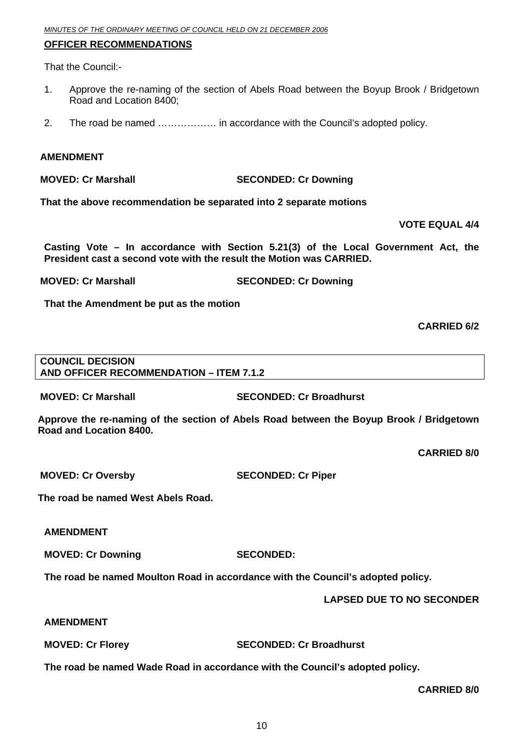#### **OFFICER RECOMMENDATIONS**

That the Council:-

- 1. Approve the re-naming of the section of Abels Road between the Boyup Brook / Bridgetown Road and Location 8400;
- 2. The road be named ……………… in accordance with the Council's adopted policy.

#### **AMENDMENT**

**MOVED: Cr Marshall SECONDED: Cr Downing** 

**That the above recommendation be separated into 2 separate motions** 

**VOTE EQUAL 4/4** 

**Casting Vote – In accordance with Section 5.21(3) of the Local Government Act, the President cast a second vote with the result the Motion was CARRIED.** 

**MOVED: Cr Marshall SECONDED: Cr Downing** 

**That the Amendment be put as the motion** 

#### **CARRIED 6/2**

#### **COUNCIL DECISION AND OFFICER RECOMMENDATION – ITEM 7.1.2**

**MOVED: Cr Marshall SECONDED: Cr Broadhurst** 

**Approve the re-naming of the section of Abels Road between the Boyup Brook / Bridgetown Road and Location 8400.** 

**CARRIED 8/0** 

**MOVED: Cr Oversby SECONDED: Cr Piper** 

**The road be named West Abels Road.** 

**AMENDMENT** 

**MOVED: Cr Downing SECONDED:** 

**The road be named Moulton Road in accordance with the Council's adopted policy.**

**LAPSED DUE TO NO SECONDER** 

#### **AMENDMENT**

**MOVED: Cr Florey SECONDED: Cr Broadhurst** 

**The road be named Wade Road in accordance with the Council's adopted policy.**

**CARRIED 8/0**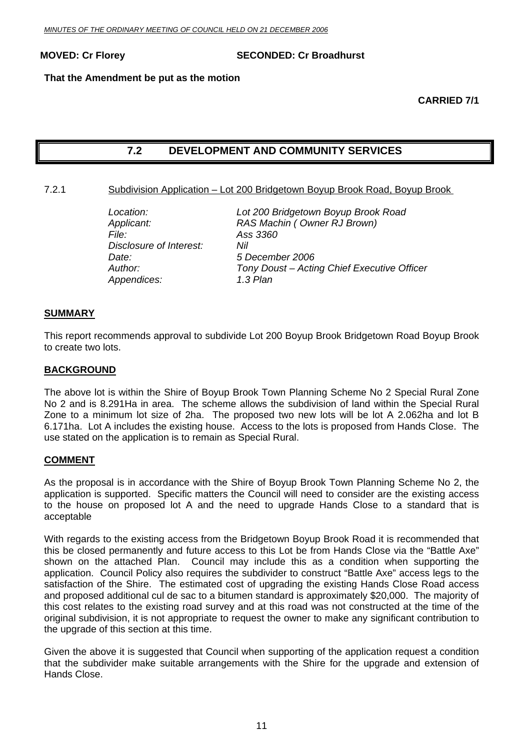<span id="page-10-0"></span>**MOVED: Cr Florey SECONDED: Cr Broadhurst** 

#### **That the Amendment be put as the motion**

#### **CARRIED 7/1**

#### **7.2 DEVELOPMENT AND COMMUNITY SERVICES**

#### 7.2.1 Subdivision Application – Lot 200 Bridgetown Boyup Brook Road, Boyup Brook

| Location:               | Lot 200 Bridgetown Boyup Brook Road         |
|-------------------------|---------------------------------------------|
| Applicant:              | RAS Machin (Owner RJ Brown)                 |
| File:                   | Ass 3360                                    |
| Disclosure of Interest: | Nil                                         |
| Date:                   | 5 December 2006                             |
| Author:                 | Tony Doust - Acting Chief Executive Officer |
| Appendices:             | 1.3 Plan                                    |

#### **SUMMARY**

This report recommends approval to subdivide Lot 200 Boyup Brook Bridgetown Road Boyup Brook to create two lots.

#### **BACKGROUND**

The above lot is within the Shire of Boyup Brook Town Planning Scheme No 2 Special Rural Zone No 2 and is 8.291Ha in area. The scheme allows the subdivision of land within the Special Rural Zone to a minimum lot size of 2ha. The proposed two new lots will be lot A 2.062ha and lot B 6.171ha. Lot A includes the existing house. Access to the lots is proposed from Hands Close. The use stated on the application is to remain as Special Rural.

#### **COMMENT**

As the proposal is in accordance with the Shire of Boyup Brook Town Planning Scheme No 2, the application is supported. Specific matters the Council will need to consider are the existing access to the house on proposed lot A and the need to upgrade Hands Close to a standard that is acceptable

With regards to the existing access from the Bridgetown Boyup Brook Road it is recommended that this be closed permanently and future access to this Lot be from Hands Close via the "Battle Axe" shown on the attached Plan. Council may include this as a condition when supporting the application. Council Policy also requires the subdivider to construct "Battle Axe" access legs to the satisfaction of the Shire. The estimated cost of upgrading the existing Hands Close Road access and proposed additional cul de sac to a bitumen standard is approximately \$20,000. The majority of this cost relates to the existing road survey and at this road was not constructed at the time of the original subdivision, it is not appropriate to request the owner to make any significant contribution to the upgrade of this section at this time.

Given the above it is suggested that Council when supporting of the application request a condition that the subdivider make suitable arrangements with the Shire for the upgrade and extension of Hands Close.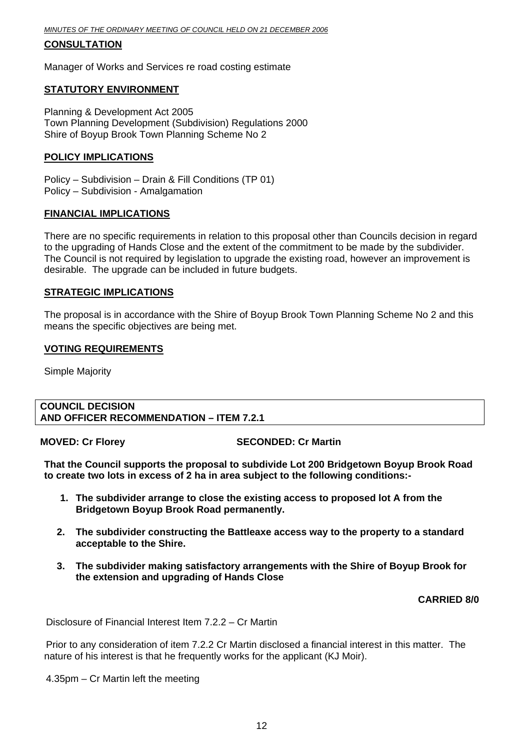*MINUTES OF THE ORDINARY MEETING OF COUNCIL HELD ON 21 DECEMBER 2006*

#### **CONSULTATION**

Manager of Works and Services re road costing estimate

#### **STATUTORY ENVIRONMENT**

Planning & Development Act 2005 Town Planning Development (Subdivision) Regulations 2000 Shire of Boyup Brook Town Planning Scheme No 2

#### **POLICY IMPLICATIONS**

Policy – Subdivision – Drain & Fill Conditions (TP 01) Policy – Subdivision - Amalgamation

#### **FINANCIAL IMPLICATIONS**

There are no specific requirements in relation to this proposal other than Councils decision in regard to the upgrading of Hands Close and the extent of the commitment to be made by the subdivider. The Council is not required by legislation to upgrade the existing road, however an improvement is desirable. The upgrade can be included in future budgets.

#### **STRATEGIC IMPLICATIONS**

The proposal is in accordance with the Shire of Boyup Brook Town Planning Scheme No 2 and this means the specific objectives are being met.

#### **VOTING REQUIREMENTS**

Simple Majority

#### **COUNCIL DECISION AND OFFICER RECOMMENDATION – ITEM 7.2.1**

**MOVED: Cr Florey SECONDED: Cr Martin** 

**That the Council supports the proposal to subdivide Lot 200 Bridgetown Boyup Brook Road to create two lots in excess of 2 ha in area subject to the following conditions:-** 

- **1. The subdivider arrange to close the existing access to proposed lot A from the Bridgetown Boyup Brook Road permanently.**
- **2. The subdivider constructing the Battleaxe access way to the property to a standard acceptable to the Shire.**
- **3. The subdivider making satisfactory arrangements with the Shire of Boyup Brook for the extension and upgrading of Hands Close**

#### **CARRIED 8/0**

Disclosure of Financial Interest Item 7.2.2 – Cr Martin

Prior to any consideration of item 7.2.2 Cr Martin disclosed a financial interest in this matter. The nature of his interest is that he frequently works for the applicant (KJ Moir).

4.35pm – Cr Martin left the meeting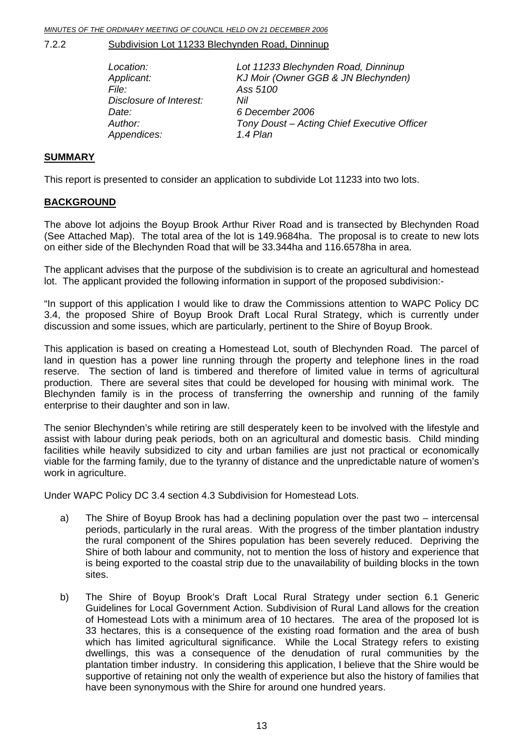<span id="page-12-0"></span>*MINUTES OF THE ORDINARY MEETING OF COUNCIL HELD ON 21 DECEMBER 2006*

7.2.2 Subdivision Lot 11233 Blechynden Road, Dinninup

| Tony Doust - Acting Chief Executive Officer |
|---------------------------------------------|
|                                             |
|                                             |

#### **SUMMARY**

This report is presented to consider an application to subdivide Lot 11233 into two lots.

#### **BACKGROUND**

The above lot adjoins the Boyup Brook Arthur River Road and is transected by Blechynden Road (See Attached Map). The total area of the lot is 149.9684ha. The proposal is to create to new lots on either side of the Blechynden Road that will be 33.344ha and 116.6578ha in area.

The applicant advises that the purpose of the subdivision is to create an agricultural and homestead lot. The applicant provided the following information in support of the proposed subdivision:-

"In support of this application I would like to draw the Commissions attention to WAPC Policy DC 3.4, the proposed Shire of Boyup Brook Draft Local Rural Strategy, which is currently under discussion and some issues, which are particularly, pertinent to the Shire of Boyup Brook.

This application is based on creating a Homestead Lot, south of Blechynden Road. The parcel of land in question has a power line running through the property and telephone lines in the road reserve. The section of land is timbered and therefore of limited value in terms of agricultural production. There are several sites that could be developed for housing with minimal work. The Blechynden family is in the process of transferring the ownership and running of the family enterprise to their daughter and son in law.

The senior Blechynden's while retiring are still desperately keen to be involved with the lifestyle and assist with labour during peak periods, both on an agricultural and domestic basis. Child minding facilities while heavily subsidized to city and urban families are just not practical or economically viable for the farming family, due to the tyranny of distance and the unpredictable nature of women's work in agriculture.

Under WAPC Policy DC 3.4 section 4.3 Subdivision for Homestead Lots.

- a) The Shire of Boyup Brook has had a declining population over the past two intercensal periods, particularly in the rural areas. With the progress of the timber plantation industry the rural component of the Shires population has been severely reduced. Depriving the Shire of both labour and community, not to mention the loss of history and experience that is being exported to the coastal strip due to the unavailability of building blocks in the town sites.
- b) The Shire of Boyup Brook's Draft Local Rural Strategy under section 6.1 Generic Guidelines for Local Government Action. Subdivision of Rural Land allows for the creation of Homestead Lots with a minimum area of 10 hectares. The area of the proposed lot is 33 hectares, this is a consequence of the existing road formation and the area of bush which has limited agricultural significance. While the Local Strategy refers to existing dwellings, this was a consequence of the denudation of rural communities by the plantation timber industry. In considering this application, I believe that the Shire would be supportive of retaining not only the wealth of experience but also the history of families that have been synonymous with the Shire for around one hundred years.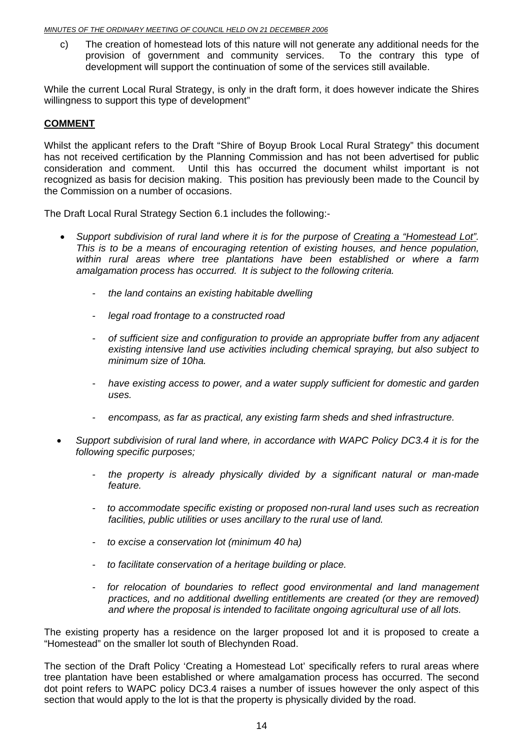c) The creation of homestead lots of this nature will not generate any additional needs for the provision of government and community services. To the contrary this type of development will support the continuation of some of the services still available.

While the current Local Rural Strategy, is only in the draft form, it does however indicate the Shires willingness to support this type of development"

#### **COMMENT**

Whilst the applicant refers to the Draft "Shire of Boyup Brook Local Rural Strategy" this document has not received certification by the Planning Commission and has not been advertised for public consideration and comment. Until this has occurred the document whilst important is not recognized as basis for decision making. This position has previously been made to the Council by the Commission on a number of occasions.

The Draft Local Rural Strategy Section 6.1 includes the following:-

- *Support subdivision of rural land where it is for the purpose of Creating a "Homestead Lot". This is to be a means of encouraging retention of existing houses, and hence population, within rural areas where tree plantations have been established or where a farm amalgamation process has occurred. It is subject to the following criteria.* 
	- *the land contains an existing habitable dwelling*
	- *legal road frontage to a constructed road*
	- *of sufficient size and configuration to provide an appropriate buffer from any adjacent existing intensive land use activities including chemical spraying, but also subject to minimum size of 10ha.*
	- *have existing access to power, and a water supply sufficient for domestic and garden uses.*
	- *encompass, as far as practical, any existing farm sheds and shed infrastructure.*
- *Support subdivision of rural land where, in accordance with WAPC Policy DC3.4 it is for the following specific purposes;* 
	- *the property is already physically divided by a significant natural or man-made feature.*
	- *to accommodate specific existing or proposed non-rural land uses such as recreation facilities, public utilities or uses ancillary to the rural use of land.*
	- *to excise a conservation lot (minimum 40 ha)*
	- *to facilitate conservation of a heritage building or place.*
	- *for relocation of boundaries to reflect good environmental and land management practices, and no additional dwelling entitlements are created (or they are removed) and where the proposal is intended to facilitate ongoing agricultural use of all lots.*

The existing property has a residence on the larger proposed lot and it is proposed to create a "Homestead" on the smaller lot south of Blechynden Road.

The section of the Draft Policy 'Creating a Homestead Lot' specifically refers to rural areas where tree plantation have been established or where amalgamation process has occurred. The second dot point refers to WAPC policy DC3.4 raises a number of issues however the only aspect of this section that would apply to the lot is that the property is physically divided by the road.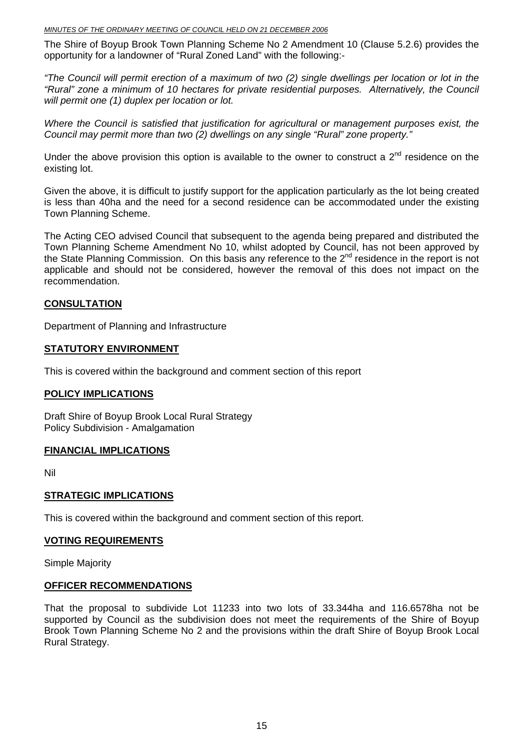The Shire of Boyup Brook Town Planning Scheme No 2 Amendment 10 (Clause 5.2.6) provides the opportunity for a landowner of "Rural Zoned Land" with the following:-

*"The Council will permit erection of a maximum of two (2) single dwellings per location or lot in the "Rural" zone a minimum of 10 hectares for private residential purposes. Alternatively, the Council will permit one (1) duplex per location or lot.* 

*Where the Council is satisfied that justification for agricultural or management purposes exist, the Council may permit more than two (2) dwellings on any single "Rural" zone property."*

Under the above provision this option is available to the owner to construct a  $2<sup>nd</sup>$  residence on the existing lot.

Given the above, it is difficult to justify support for the application particularly as the lot being created is less than 40ha and the need for a second residence can be accommodated under the existing Town Planning Scheme.

The Acting CEO advised Council that subsequent to the agenda being prepared and distributed the Town Planning Scheme Amendment No 10, whilst adopted by Council, has not been approved by the State Planning Commission. On this basis any reference to the  $2^{nd}$  residence in the report is not applicable and should not be considered, however the removal of this does not impact on the recommendation.

#### **CONSULTATION**

Department of Planning and Infrastructure

#### **STATUTORY ENVIRONMENT**

This is covered within the background and comment section of this report

#### **POLICY IMPLICATIONS**

Draft Shire of Boyup Brook Local Rural Strategy Policy Subdivision - Amalgamation

#### **FINANCIAL IMPLICATIONS**

Nil

#### **STRATEGIC IMPLICATIONS**

This is covered within the background and comment section of this report.

#### **VOTING REQUIREMENTS**

Simple Majority

#### **OFFICER RECOMMENDATIONS**

That the proposal to subdivide Lot 11233 into two lots of 33.344ha and 116.6578ha not be supported by Council as the subdivision does not meet the requirements of the Shire of Boyup Brook Town Planning Scheme No 2 and the provisions within the draft Shire of Boyup Brook Local Rural Strategy.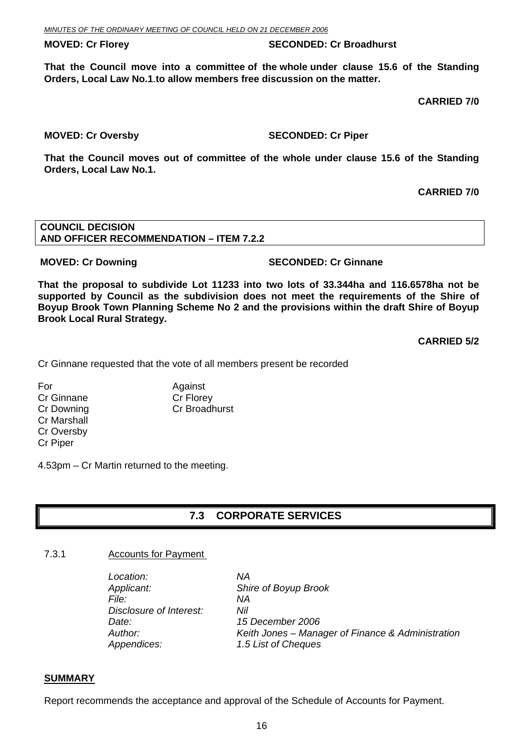<span id="page-15-0"></span>**MOVED: Cr Florey SECONDED: Cr Broadhurst** 

**That the Council move into a committee of the whole under clause 15.6 of the Standing Orders, Local Law No.1**.**to allow members free discussion on the matter.** 

 **CARRIED 7/0** 

#### **MOVED: Cr Oversby SECONDED: Cr Piper SECONDED: Cr Piper**

**That the Council moves out of committee of the whole under clause 15.6 of the Standing Orders, Local Law No.1.** 

#### **CARRIED 7/0**

#### **COUNCIL DECISION AND OFFICER RECOMMENDATION – ITEM 7.2.2**

#### **MOVED: Cr Downing SECONDED: Cr Ginnane**

**That the proposal to subdivide Lot 11233 into two lots of 33.344ha and 116.6578ha not be supported by Council as the subdivision does not meet the requirements of the Shire of Boyup Brook Town Planning Scheme No 2 and the provisions within the draft Shire of Boyup Brook Local Rural Strategy.** 

**CARRIED 5/2** 

Cr Ginnane requested that the vote of all members present be recorded

For Against Cr Ginnane Cr Florey Cr Marshall Cr Oversby Cr Piper

Cr Downing Cr Broadhurst

4.53pm – Cr Martin returned to the meeting.

### **7.3 CORPORATE SERVICES**

#### 7.3.1 Accounts for Payment

*Location: NA Applicant: Shire of Boyup Brook File: NA Disclosure of Interest: Nil Date: 15 December 2006 Appendices: 1.5 List of Cheques* 

*Author: Keith Jones – Manager of Finance & Administration* 

#### **SUMMARY**

Report recommends the acceptance and approval of the Schedule of Accounts for Payment.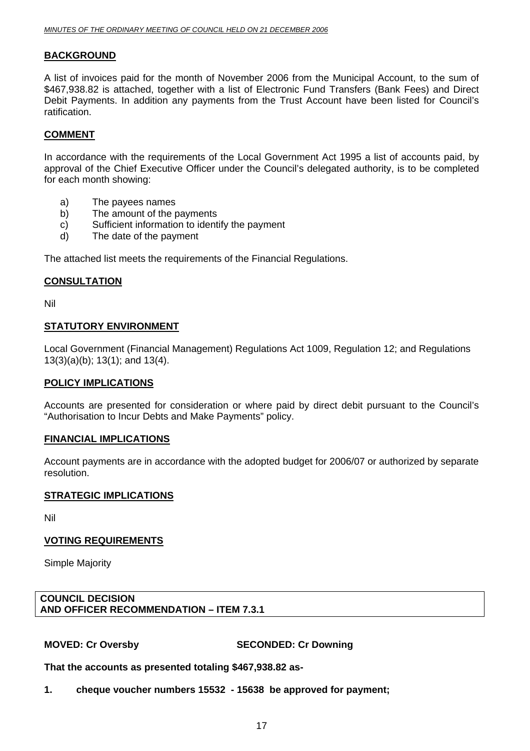#### **BACKGROUND**

A list of invoices paid for the month of November 2006 from the Municipal Account, to the sum of \$467,938.82 is attached, together with a list of Electronic Fund Transfers (Bank Fees) and Direct Debit Payments. In addition any payments from the Trust Account have been listed for Council's ratification.

#### **COMMENT**

In accordance with the requirements of the Local Government Act 1995 a list of accounts paid, by approval of the Chief Executive Officer under the Council's delegated authority, is to be completed for each month showing:

- a) The payees names
- b) The amount of the payments
- c) Sufficient information to identify the payment
- d) The date of the payment

The attached list meets the requirements of the Financial Regulations.

#### **CONSULTATION**

Nil

#### **STATUTORY ENVIRONMENT**

Local Government (Financial Management) Regulations Act 1009, Regulation 12; and Regulations 13(3)(a)(b); 13(1); and 13(4).

#### **POLICY IMPLICATIONS**

Accounts are presented for consideration or where paid by direct debit pursuant to the Council's "Authorisation to Incur Debts and Make Payments" policy.

#### **FINANCIAL IMPLICATIONS**

Account payments are in accordance with the adopted budget for 2006/07 or authorized by separate resolution.

#### **STRATEGIC IMPLICATIONS**

Nil

#### **VOTING REQUIREMENTS**

Simple Majority

#### **COUNCIL DECISION AND OFFICER RECOMMENDATION – ITEM 7.3.1**

**MOVED: Cr Oversby SECONDED: Cr Downing** 

**That the accounts as presented totaling \$467,938.82 as-**

**1. cheque voucher numbers 15532 - 15638 be approved for payment;**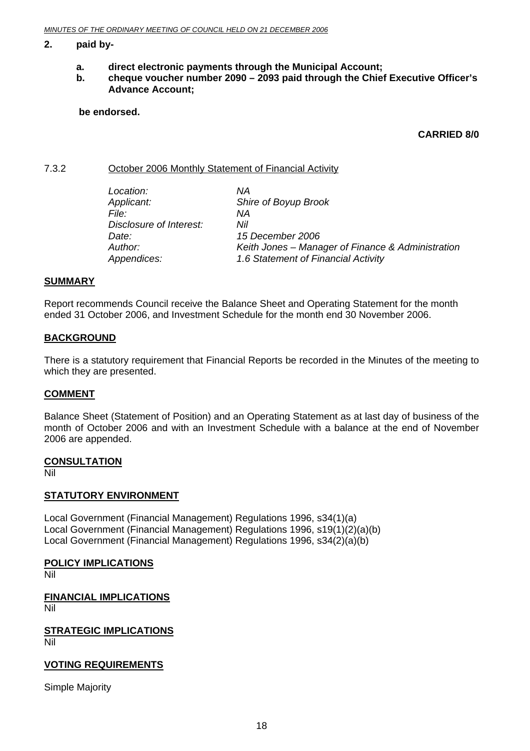#### <span id="page-17-0"></span>**2. paid by-**

- **a. direct electronic payments through the Municipal Account;**
- **b. cheque voucher number 2090 2093 paid through the Chief Executive Officer's Advance Account;**

 **be endorsed.** 

#### **CARRIED 8/0**

7.3.2 October 2006 Monthly Statement of Financial Activity

| Location:               | ΝA                                                |
|-------------------------|---------------------------------------------------|
| Applicant:              | Shire of Boyup Brook                              |
| <i>File:</i>            | ΝA                                                |
| Disclosure of Interest: | Nil                                               |
| Date:                   | 15 December 2006                                  |
| Author:                 | Keith Jones - Manager of Finance & Administration |
| Appendices:             | 1.6 Statement of Financial Activity               |

#### **SUMMARY**

Report recommends Council receive the Balance Sheet and Operating Statement for the month ended 31 October 2006, and Investment Schedule for the month end 30 November 2006.

#### **BACKGROUND**

There is a statutory requirement that Financial Reports be recorded in the Minutes of the meeting to which they are presented.

#### **COMMENT**

Balance Sheet (Statement of Position) and an Operating Statement as at last day of business of the month of October 2006 and with an Investment Schedule with a balance at the end of November 2006 are appended.

#### **CONSULTATION**

Nil

#### **STATUTORY ENVIRONMENT**

Local Government (Financial Management) Regulations 1996, s34(1)(a) Local Government (Financial Management) Regulations 1996, s19(1)(2)(a)(b) Local Government (Financial Management) Regulations 1996, s34(2)(a)(b)

#### **POLICY IMPLICATIONS**

Nil

**FINANCIAL IMPLICATIONS** Nil

**STRATEGIC IMPLICATIONS** Nil

#### **VOTING REQUIREMENTS**

Simple Majority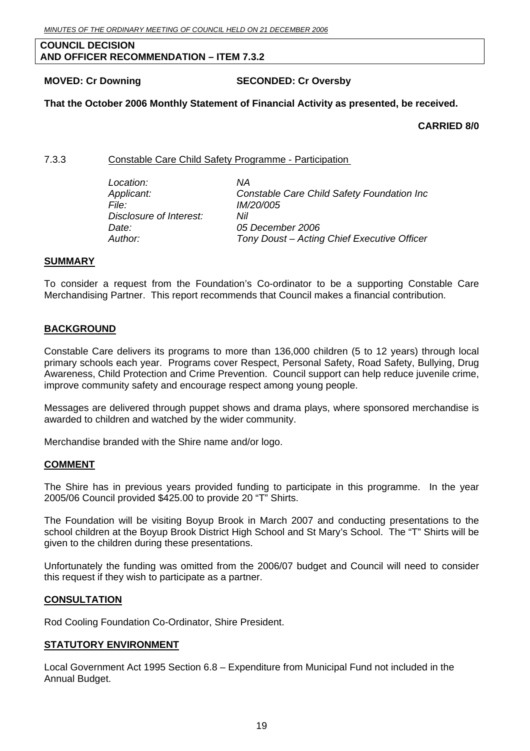#### <span id="page-18-0"></span>**COUNCIL DECISION AND OFFICER RECOMMENDATION – ITEM 7.3.2**

#### **MOVED: Cr Downing SECONDED: Cr Oversby**

#### **That the October 2006 Monthly Statement of Financial Activity as presented, be received.**

#### **CARRIED 8/0**

#### 7.3.3 Constable Care Child Safety Programme - Participation

| ΝA                                          |  |
|---------------------------------------------|--|
| Constable Care Child Safety Foundation Inc  |  |
| <i>IM/20/005</i>                            |  |
| Nil                                         |  |
| 05 December 2006                            |  |
| Tony Doust – Acting Chief Executive Officer |  |
|                                             |  |

#### **SUMMARY**

To consider a request from the Foundation's Co-ordinator to be a supporting Constable Care Merchandising Partner. This report recommends that Council makes a financial contribution.

#### **BACKGROUND**

Constable Care delivers its programs to more than 136,000 children (5 to 12 years) through local primary schools each year. Programs cover Respect, Personal Safety, Road Safety, Bullying, Drug Awareness, Child Protection and Crime Prevention. Council support can help reduce juvenile crime, improve community safety and encourage respect among young people.

Messages are delivered through puppet shows and drama plays, where sponsored merchandise is awarded to children and watched by the wider community.

Merchandise branded with the Shire name and/or logo.

#### **COMMENT**

The Shire has in previous years provided funding to participate in this programme. In the year 2005/06 Council provided \$425.00 to provide 20 "T" Shirts.

The Foundation will be visiting Boyup Brook in March 2007 and conducting presentations to the school children at the Boyup Brook District High School and St Mary's School. The "T" Shirts will be given to the children during these presentations.

Unfortunately the funding was omitted from the 2006/07 budget and Council will need to consider this request if they wish to participate as a partner.

#### **CONSULTATION**

Rod Cooling Foundation Co-Ordinator, Shire President.

#### **STATUTORY ENVIRONMENT**

Local Government Act 1995 Section 6.8 – Expenditure from Municipal Fund not included in the Annual Budget.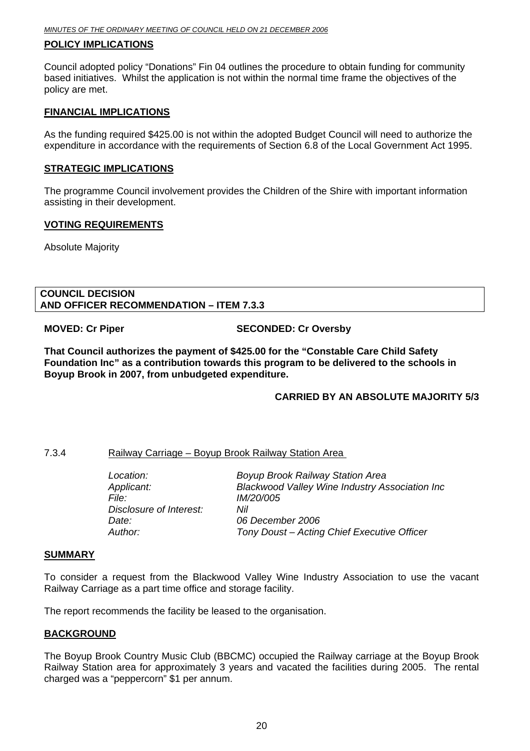#### <span id="page-19-0"></span>**POLICY IMPLICATIONS**

Council adopted policy "Donations" Fin 04 outlines the procedure to obtain funding for community based initiatives. Whilst the application is not within the normal time frame the objectives of the policy are met.

#### **FINANCIAL IMPLICATIONS**

As the funding required \$425.00 is not within the adopted Budget Council will need to authorize the expenditure in accordance with the requirements of Section 6.8 of the Local Government Act 1995.

#### **STRATEGIC IMPLICATIONS**

The programme Council involvement provides the Children of the Shire with important information assisting in their development.

#### **VOTING REQUIREMENTS**

Absolute Majority

#### **COUNCIL DECISION AND OFFICER RECOMMENDATION – ITEM 7.3.3**

**MOVED: Cr Piper SECONDED: Cr Oversby** 

**That Council authorizes the payment of \$425.00 for the "Constable Care Child Safety Foundation Inc" as a contribution towards this program to be delivered to the schools in Boyup Brook in 2007, from unbudgeted expenditure.** 

#### **CARRIED BY AN ABSOLUTE MAJORITY 5/3**

#### 7.3.4 Railway Carriage – Boyup Brook Railway Station Area

| <b>Blackwood Valley Wine Industry Association Inc</b> |
|-------------------------------------------------------|
|                                                       |
|                                                       |
|                                                       |
|                                                       |
|                                                       |

#### **SUMMARY**

To consider a request from the Blackwood Valley Wine Industry Association to use the vacant Railway Carriage as a part time office and storage facility.

The report recommends the facility be leased to the organisation.

#### **BACKGROUND**

The Boyup Brook Country Music Club (BBCMC) occupied the Railway carriage at the Boyup Brook Railway Station area for approximately 3 years and vacated the facilities during 2005. The rental charged was a "peppercorn" \$1 per annum.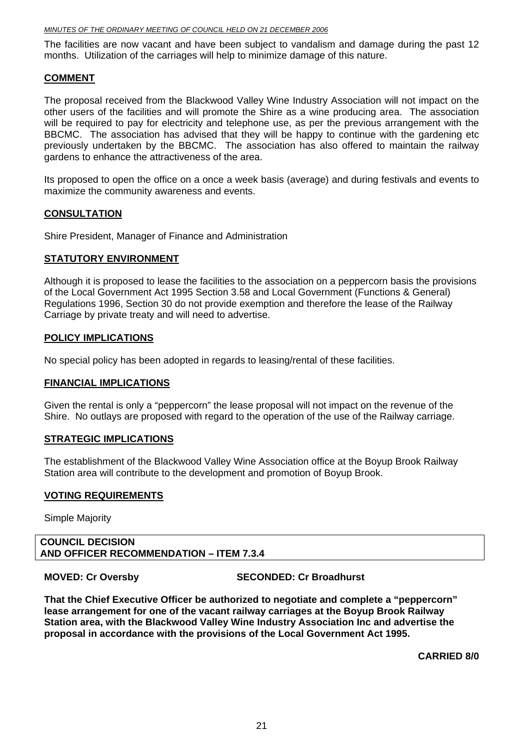The facilities are now vacant and have been subject to vandalism and damage during the past 12 months. Utilization of the carriages will help to minimize damage of this nature.

#### **COMMENT**

The proposal received from the Blackwood Valley Wine Industry Association will not impact on the other users of the facilities and will promote the Shire as a wine producing area. The association will be required to pay for electricity and telephone use, as per the previous arrangement with the BBCMC. The association has advised that they will be happy to continue with the gardening etc previously undertaken by the BBCMC. The association has also offered to maintain the railway gardens to enhance the attractiveness of the area.

Its proposed to open the office on a once a week basis (average) and during festivals and events to maximize the community awareness and events.

#### **CONSULTATION**

Shire President, Manager of Finance and Administration

#### **STATUTORY ENVIRONMENT**

Although it is proposed to lease the facilities to the association on a peppercorn basis the provisions of the Local Government Act 1995 Section 3.58 and Local Government (Functions & General) Regulations 1996, Section 30 do not provide exemption and therefore the lease of the Railway Carriage by private treaty and will need to advertise.

#### **POLICY IMPLICATIONS**

No special policy has been adopted in regards to leasing/rental of these facilities.

#### **FINANCIAL IMPLICATIONS**

Given the rental is only a "peppercorn" the lease proposal will not impact on the revenue of the Shire. No outlays are proposed with regard to the operation of the use of the Railway carriage.

#### **STRATEGIC IMPLICATIONS**

The establishment of the Blackwood Valley Wine Association office at the Boyup Brook Railway Station area will contribute to the development and promotion of Boyup Brook.

#### **VOTING REQUIREMENTS**

Simple Majority

#### **COUNCIL DECISION AND OFFICER RECOMMENDATION – ITEM 7.3.4**

**MOVED: Cr Oversby SECONDED: Cr Broadhurst** 

**That the Chief Executive Officer be authorized to negotiate and complete a "peppercorn" lease arrangement for one of the vacant railway carriages at the Boyup Brook Railway Station area, with the Blackwood Valley Wine Industry Association Inc and advertise the proposal in accordance with the provisions of the Local Government Act 1995.** 

**CARRIED 8/0**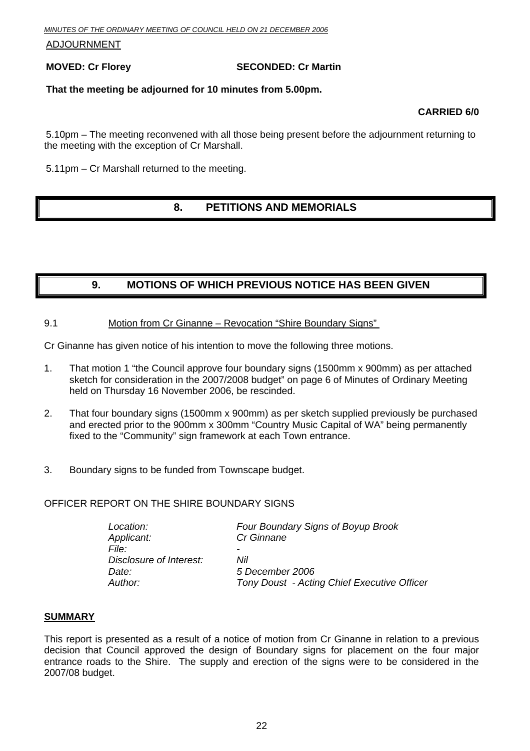<span id="page-21-0"></span>ADJOURNMENT

#### **MOVED: Cr Florey SECONDED: Cr Martin**

#### **That the meeting be adjourned for 10 minutes from 5.00pm.**

#### **CARRIED 6/0**

5.10pm – The meeting reconvened with all those being present before the adjournment returning to the meeting with the exception of Cr Marshall.

5.11pm – Cr Marshall returned to the meeting.

### **8. PETITIONS AND MEMORIALS**

### **9. MOTIONS OF WHICH PREVIOUS NOTICE HAS BEEN GIVEN**

#### 9.1 Motion from Cr Ginanne – Revocation "Shire Boundary Signs"

Cr Ginanne has given notice of his intention to move the following three motions.

- 1. That motion 1 "the Council approve four boundary signs (1500mm x 900mm) as per attached sketch for consideration in the 2007/2008 budget" on page 6 of Minutes of Ordinary Meeting held on Thursday 16 November 2006, be rescinded.
- 2. That four boundary signs (1500mm x 900mm) as per sketch supplied previously be purchased and erected prior to the 900mm x 300mm "Country Music Capital of WA" being permanently fixed to the "Community" sign framework at each Town entrance.
- 3. Boundary signs to be funded from Townscape budget.

#### OFFICER REPORT ON THE SHIRE BOUNDARY SIGNS

| Four Boundary Signs of Boyup Brook          |
|---------------------------------------------|
| Cr Ginnane                                  |
|                                             |
| Nil                                         |
| 5 December 2006                             |
| Tony Doust - Acting Chief Executive Officer |
|                                             |

#### **SUMMARY**

This report is presented as a result of a notice of motion from Cr Ginanne in relation to a previous decision that Council approved the design of Boundary signs for placement on the four major entrance roads to the Shire. The supply and erection of the signs were to be considered in the 2007/08 budget.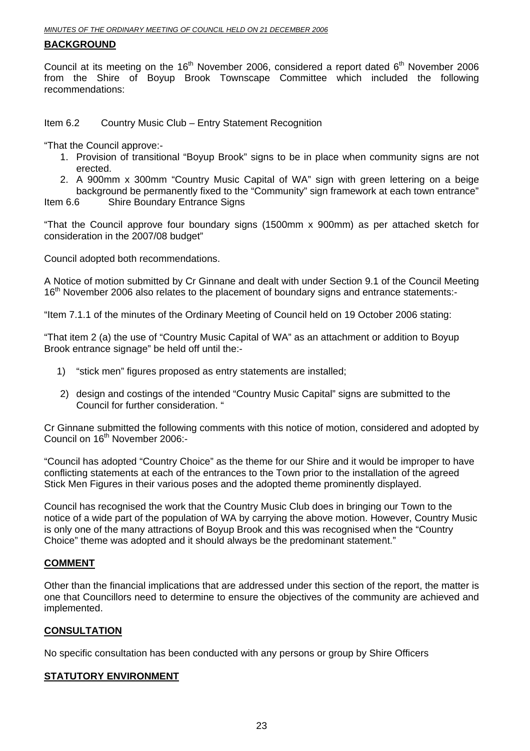#### **BACKGROUND**

Council at its meeting on the  $16<sup>th</sup>$  November 2006, considered a report dated  $6<sup>th</sup>$  November 2006 from the Shire of Boyup Brook Townscape Committee which included the following recommendations:

Item 6.2 Country Music Club – Entry Statement Recognition

"That the Council approve:-

- 1. Provision of transitional "Boyup Brook" signs to be in place when community signs are not erected.
- 2. A 900mm x 300mm "Country Music Capital of WA" sign with green lettering on a beige background be permanently fixed to the "Community" sign framework at each town entrance"

Item 6.6 Shire Boundary Entrance Signs

"That the Council approve four boundary signs (1500mm x 900mm) as per attached sketch for consideration in the 2007/08 budget"

Council adopted both recommendations.

A Notice of motion submitted by Cr Ginnane and dealt with under Section 9.1 of the Council Meeting 16<sup>th</sup> November 2006 also relates to the placement of boundary signs and entrance statements:-

"Item 7.1.1 of the minutes of the Ordinary Meeting of Council held on 19 October 2006 stating:

"That item 2 (a) the use of "Country Music Capital of WA" as an attachment or addition to Boyup Brook entrance signage" be held off until the:-

- 1) "stick men" figures proposed as entry statements are installed;
- 2) design and costings of the intended "Country Music Capital" signs are submitted to the Council for further consideration. "

Cr Ginnane submitted the following comments with this notice of motion, considered and adopted by Council on 16<sup>th</sup> November 2006:-

"Council has adopted "Country Choice" as the theme for our Shire and it would be improper to have conflicting statements at each of the entrances to the Town prior to the installation of the agreed Stick Men Figures in their various poses and the adopted theme prominently displayed.

Council has recognised the work that the Country Music Club does in bringing our Town to the notice of a wide part of the population of WA by carrying the above motion. However, Country Music is only one of the many attractions of Boyup Brook and this was recognised when the "Country Choice" theme was adopted and it should always be the predominant statement."

#### **COMMENT**

Other than the financial implications that are addressed under this section of the report, the matter is one that Councillors need to determine to ensure the objectives of the community are achieved and implemented.

#### **CONSULTATION**

No specific consultation has been conducted with any persons or group by Shire Officers

#### **STATUTORY ENVIRONMENT**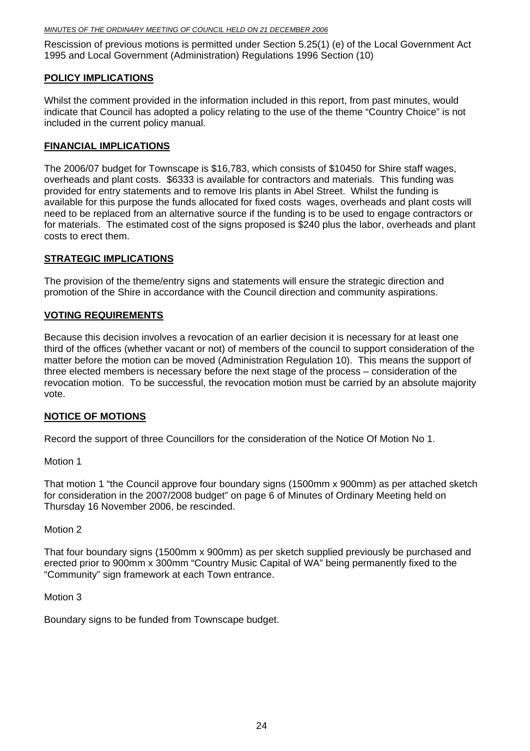Rescission of previous motions is permitted under Section 5.25(1) (e) of the Local Government Act 1995 and Local Government (Administration) Regulations 1996 Section (10)

#### **POLICY IMPLICATIONS**

Whilst the comment provided in the information included in this report, from past minutes, would indicate that Council has adopted a policy relating to the use of the theme "Country Choice" is not included in the current policy manual.

#### **FINANCIAL IMPLICATIONS**

The 2006/07 budget for Townscape is \$16,783, which consists of \$10450 for Shire staff wages, overheads and plant costs. \$6333 is available for contractors and materials. This funding was provided for entry statements and to remove Iris plants in Abel Street. Whilst the funding is available for this purpose the funds allocated for fixed costs wages, overheads and plant costs will need to be replaced from an alternative source if the funding is to be used to engage contractors or for materials. The estimated cost of the signs proposed is \$240 plus the labor, overheads and plant costs to erect them.

#### **STRATEGIC IMPLICATIONS**

The provision of the theme/entry signs and statements will ensure the strategic direction and promotion of the Shire in accordance with the Council direction and community aspirations.

#### **VOTING REQUIREMENTS**

Because this decision involves a revocation of an earlier decision it is necessary for at least one third of the offices (whether vacant or not) of members of the council to support consideration of the matter before the motion can be moved (Administration Regulation 10). This means the support of three elected members is necessary before the next stage of the process – consideration of the revocation motion. To be successful, the revocation motion must be carried by an absolute majority vote.

#### **NOTICE OF MOTIONS**

Record the support of three Councillors for the consideration of the Notice Of Motion No 1.

Motion 1

That motion 1 "the Council approve four boundary signs (1500mm x 900mm) as per attached sketch for consideration in the 2007/2008 budget" on page 6 of Minutes of Ordinary Meeting held on Thursday 16 November 2006, be rescinded.

#### Motion 2

That four boundary signs (1500mm x 900mm) as per sketch supplied previously be purchased and erected prior to 900mm x 300mm "Country Music Capital of WA" being permanently fixed to the "Community" sign framework at each Town entrance.

Motion 3

Boundary signs to be funded from Townscape budget.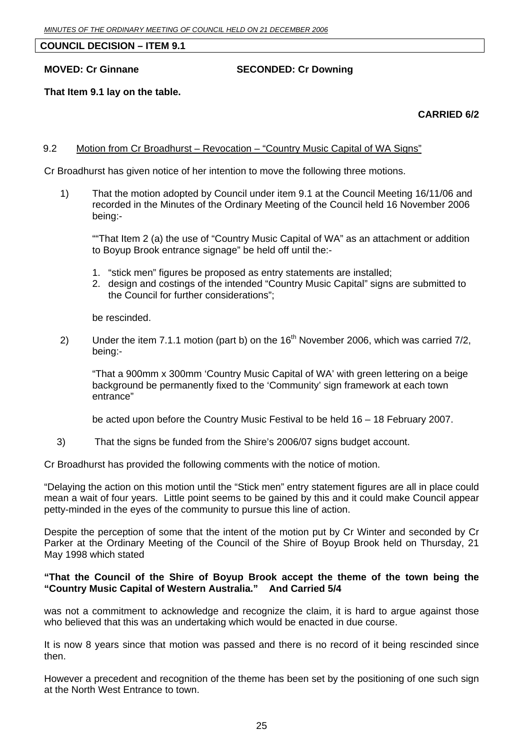#### <span id="page-24-0"></span>**COUNCIL DECISION – ITEM 9.1**

#### **MOVED: Cr Ginnane SECONDED: Cr Downing**

#### **That Item 9.1 lay on the table.**

#### **CARRIED 6/2**

#### 9.2 Motion from Cr Broadhurst – Revocation – "Country Music Capital of WA Signs"

Cr Broadhurst has given notice of her intention to move the following three motions.

1) That the motion adopted by Council under item 9.1 at the Council Meeting 16/11/06 and recorded in the Minutes of the Ordinary Meeting of the Council held 16 November 2006 being:-

""That Item 2 (a) the use of "Country Music Capital of WA" as an attachment or addition to Boyup Brook entrance signage" be held off until the:-

- 1. "stick men" figures be proposed as entry statements are installed;
- 2. design and costings of the intended "Country Music Capital" signs are submitted to the Council for further considerations";

be rescinded.

2) Under the item 7.1.1 motion (part b) on the  $16<sup>th</sup>$  November 2006, which was carried 7/2, being:-

"That a 900mm x 300mm 'Country Music Capital of WA' with green lettering on a beige background be permanently fixed to the 'Community' sign framework at each town entrance"

be acted upon before the Country Music Festival to be held 16 – 18 February 2007.

3) That the signs be funded from the Shire's 2006/07 signs budget account.

Cr Broadhurst has provided the following comments with the notice of motion.

"Delaying the action on this motion until the "Stick men" entry statement figures are all in place could mean a wait of four years. Little point seems to be gained by this and it could make Council appear petty-minded in the eyes of the community to pursue this line of action.

Despite the perception of some that the intent of the motion put by Cr Winter and seconded by Cr Parker at the Ordinary Meeting of the Council of the Shire of Boyup Brook held on Thursday, 21 May 1998 which stated

#### **"That the Council of the Shire of Boyup Brook accept the theme of the town being the "Country Music Capital of Western Australia." And Carried 5/4**

was not a commitment to acknowledge and recognize the claim, it is hard to argue against those who believed that this was an undertaking which would be enacted in due course.

It is now 8 years since that motion was passed and there is no record of it being rescinded since then.

However a precedent and recognition of the theme has been set by the positioning of one such sign at the North West Entrance to town.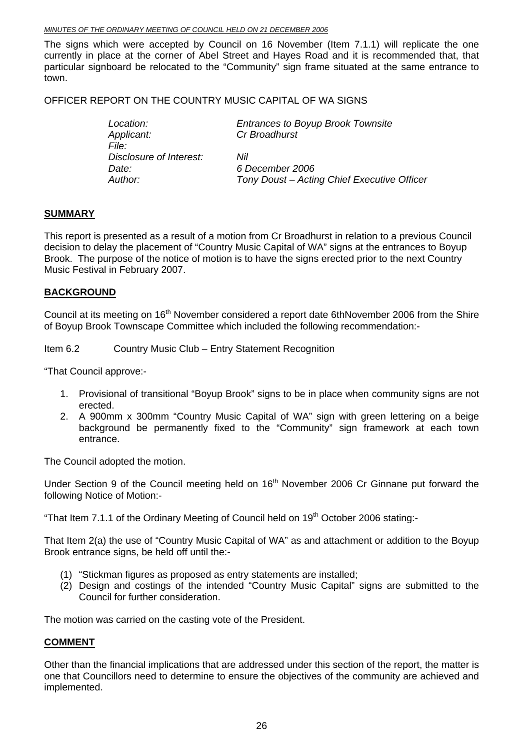The signs which were accepted by Council on 16 November (Item 7.1.1) will replicate the one currently in place at the corner of Abel Street and Hayes Road and it is recommended that, that particular signboard be relocated to the "Community" sign frame situated at the same entrance to town.

#### OFFICER REPORT ON THE COUNTRY MUSIC CAPITAL OF WA SIGNS

*Applicant: Cr Broadhurst File: Disclosure of Interest: Nil Date: 6 December 2006* 

*Location: Entrances to Boyup Brook Townsite*

*Author: Tony Doust – Acting Chief Executive Officer* 

#### **SUMMARY**

This report is presented as a result of a motion from Cr Broadhurst in relation to a previous Council decision to delay the placement of "Country Music Capital of WA" signs at the entrances to Boyup Brook. The purpose of the notice of motion is to have the signs erected prior to the next Country Music Festival in February 2007.

#### **BACKGROUND**

Council at its meeting on 16<sup>th</sup> November considered a report date 6thNovember 2006 from the Shire of Boyup Brook Townscape Committee which included the following recommendation:-

Item 6.2 Country Music Club – Entry Statement Recognition

"That Council approve:-

- 1. Provisional of transitional "Boyup Brook" signs to be in place when community signs are not erected.
- 2. A 900mm x 300mm "Country Music Capital of WA" sign with green lettering on a beige background be permanently fixed to the "Community" sign framework at each town entrance.

The Council adopted the motion.

Under Section 9 of the Council meeting held on  $16<sup>th</sup>$  November 2006 Cr Ginnane put forward the following Notice of Motion:-

"That Item 7.1.1 of the Ordinary Meeting of Council held on  $19<sup>th</sup>$  October 2006 stating:-

That Item 2(a) the use of "Country Music Capital of WA" as and attachment or addition to the Boyup Brook entrance signs, be held off until the:-

- (1) "Stickman figures as proposed as entry statements are installed;
- (2) Design and costings of the intended "Country Music Capital" signs are submitted to the Council for further consideration.

The motion was carried on the casting vote of the President.

#### **COMMENT**

Other than the financial implications that are addressed under this section of the report, the matter is one that Councillors need to determine to ensure the objectives of the community are achieved and implemented.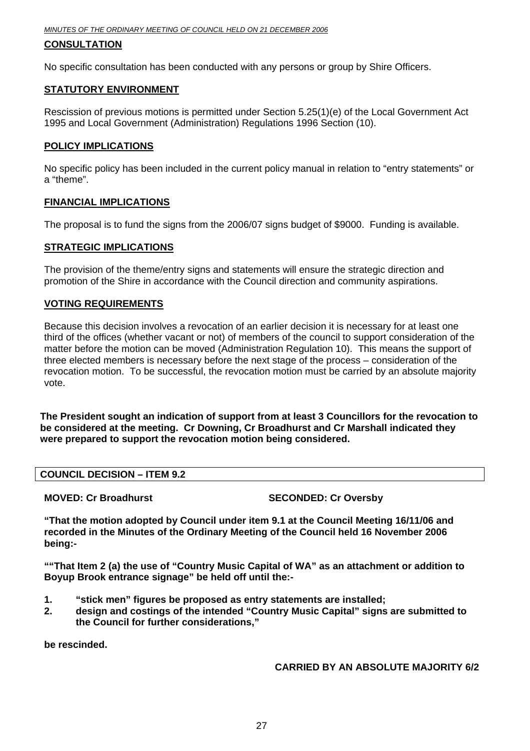#### **CONSULTATION**

No specific consultation has been conducted with any persons or group by Shire Officers.

#### **STATUTORY ENVIRONMENT**

Rescission of previous motions is permitted under Section 5.25(1)(e) of the Local Government Act 1995 and Local Government (Administration) Regulations 1996 Section (10).

#### **POLICY IMPLICATIONS**

No specific policy has been included in the current policy manual in relation to "entry statements" or a "theme".

#### **FINANCIAL IMPLICATIONS**

The proposal is to fund the signs from the 2006/07 signs budget of \$9000. Funding is available.

#### **STRATEGIC IMPLICATIONS**

The provision of the theme/entry signs and statements will ensure the strategic direction and promotion of the Shire in accordance with the Council direction and community aspirations.

#### **VOTING REQUIREMENTS**

Because this decision involves a revocation of an earlier decision it is necessary for at least one third of the offices (whether vacant or not) of members of the council to support consideration of the matter before the motion can be moved (Administration Regulation 10). This means the support of three elected members is necessary before the next stage of the process – consideration of the revocation motion. To be successful, the revocation motion must be carried by an absolute majority vote.

**The President sought an indication of support from at least 3 Councillors for the revocation to be considered at the meeting. Cr Downing, Cr Broadhurst and Cr Marshall indicated they were prepared to support the revocation motion being considered.** 

#### **COUNCIL DECISION – ITEM 9.2**

**MOVED: Cr Broadhurst SECONDED: Cr Oversby** 

**"That the motion adopted by Council under item 9.1 at the Council Meeting 16/11/06 and recorded in the Minutes of the Ordinary Meeting of the Council held 16 November 2006 being:-** 

**""That Item 2 (a) the use of "Country Music Capital of WA" as an attachment or addition to Boyup Brook entrance signage" be held off until the:-** 

- **1. "stick men" figures be proposed as entry statements are installed;**
- **2. design and costings of the intended "Country Music Capital" signs are submitted to the Council for further considerations,"**

**be rescinded.** 

#### **CARRIED BY AN ABSOLUTE MAJORITY 6/2**